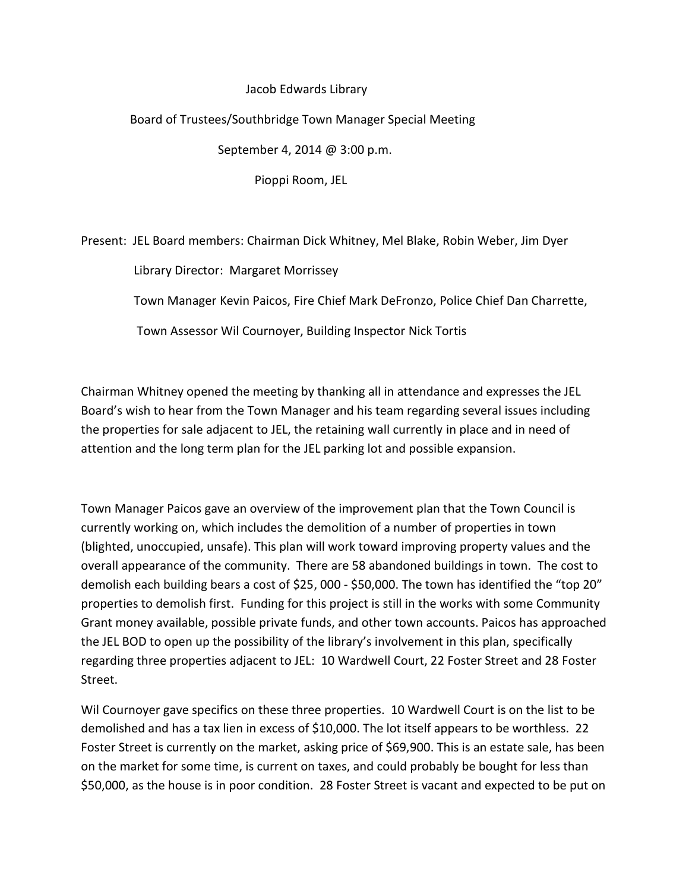## Jacob Edwards Library

## Board of Trustees/Southbridge Town Manager Special Meeting

September 4, 2014 @ 3:00 p.m.

Pioppi Room, JEL

Present: JEL Board members: Chairman Dick Whitney, Mel Blake, Robin Weber, Jim Dyer

Library Director: Margaret Morrissey

Town Manager Kevin Paicos, Fire Chief Mark DeFronzo, Police Chief Dan Charrette,

Town Assessor Wil Cournoyer, Building Inspector Nick Tortis

Chairman Whitney opened the meeting by thanking all in attendance and expresses the JEL Board's wish to hear from the Town Manager and his team regarding several issues including the properties for sale adjacent to JEL, the retaining wall currently in place and in need of attention and the long term plan for the JEL parking lot and possible expansion.

Town Manager Paicos gave an overview of the improvement plan that the Town Council is currently working on, which includes the demolition of a number of properties in town (blighted, unoccupied, unsafe). This plan will work toward improving property values and the overall appearance of the community. There are 58 abandoned buildings in town. The cost to demolish each building bears a cost of \$25, 000 - \$50,000. The town has identified the "top 20" properties to demolish first. Funding for this project is still in the works with some Community Grant money available, possible private funds, and other town accounts. Paicos has approached the JEL BOD to open up the possibility of the library's involvement in this plan, specifically regarding three properties adjacent to JEL: 10 Wardwell Court, 22 Foster Street and 28 Foster Street.

Wil Cournoyer gave specifics on these three properties. 10 Wardwell Court is on the list to be demolished and has a tax lien in excess of \$10,000. The lot itself appears to be worthless. 22 Foster Street is currently on the market, asking price of \$69,900. This is an estate sale, has been on the market for some time, is current on taxes, and could probably be bought for less than \$50,000, as the house is in poor condition. 28 Foster Street is vacant and expected to be put on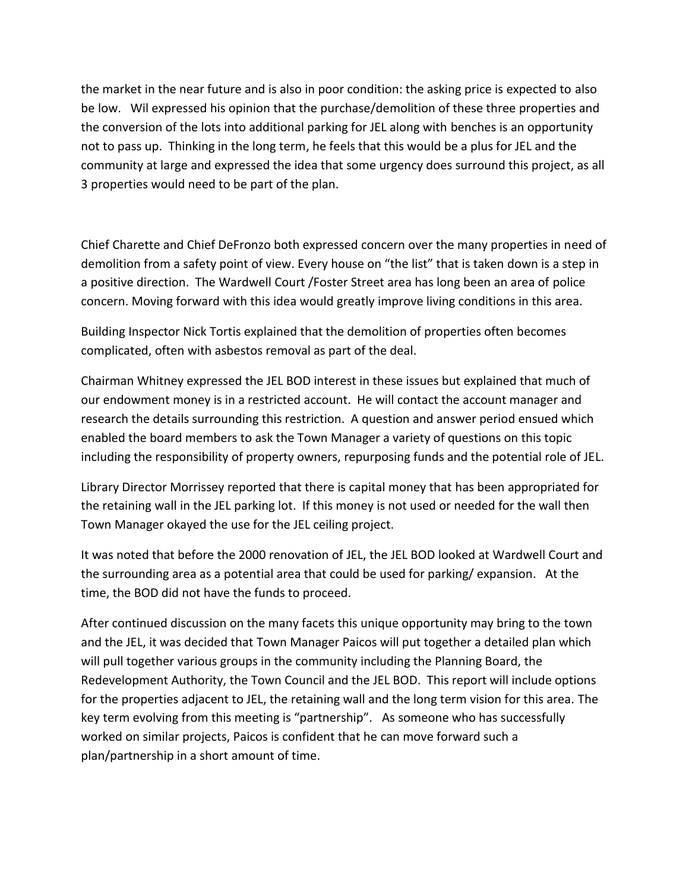the market in the near future and is also in poor condition: the asking price is expected to also be low. Wil expressed his opinion that the purchase/demolition of these three properties and the conversion of the lots into additional parking for JEL along with benches is an opportunity not to pass up. Thinking in the long term, he feels that this would be a plus for JEL and the community at large and expressed the idea that some urgency does surround this project, as all 3 properties would need to be part of the plan.

Chief Charette and Chief DeFronzo both expressed concern over the many properties in need of demolition from a safety point of view. Every house on "the list" that is taken down is a step in a positive direction. The Wardwell Court /Foster Street area has long been an area of police concern. Moving forward with this idea would greatly improve living conditions in this area.

Building Inspector Nick Tortis explained that the demolition of properties often becomes complicated, often with asbestos removal as part of the deal.

Chairman Whitney expressed the JEL BOD interest in these issues but explained that much of our endowment money is in a restricted account. He will contact the account manager and research the details surrounding this restriction. A question and answer period ensued which enabled the board members to ask the Town Manager a variety of questions on this topic including the responsibility of property owners, repurposing funds and the potential role of JEL.

Library Director Morrissey reported that there is capital money that has been appropriated for the retaining wall in the JEL parking lot. If this money is not used or needed for the wall then Town Manager okayed the use for the JEL ceiling project.

It was noted that before the 2000 renovation of JEL, the JEL BOD looked at Wardwell Court and the surrounding area as a potential area that could be used for parking/ expansion. At the time, the BOD did not have the funds to proceed.

After continued discussion on the many facets this unique opportunity may bring to the town and the JEL, it was decided that Town Manager Paicos will put together a detailed plan which will pull together various groups in the community including the Planning Board, the Redevelopment Authority, the Town Council and the JEL BOD. This report will include options for the properties adjacent to JEL, the retaining wall and the long term vision for this area. The key term evolving from this meeting is "partnership". As someone who has successfully worked on similar projects, Paicos is confident that he can move forward such a plan/partnership in a short amount of time.